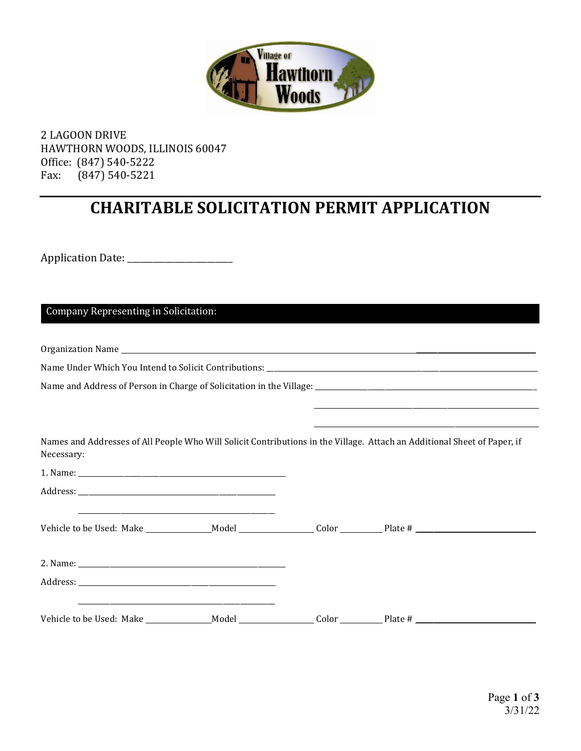

2 LAGOON DRIVE HAWTHORN WOODS, ILLINOIS 60047 Office: (847) 540-5222<br>Fax: (847) 540-5221 Fax: (847) 540-5221

## **CHARITABLE SOLICITATION PERMIT APPLICATION**

Application Date: \_\_\_\_\_\_\_\_\_\_\_\_\_\_\_\_\_\_\_\_\_\_\_\_\_

Company Representing in Solicitation:

Organization Name

Name Under Which You Intend to Solicit Contributions: \_\_\_\_\_\_\_\_\_\_\_\_\_\_\_\_\_\_\_\_\_\_\_\_\_\_

Name and Address of Person in Charge of Solicitation in the Village: \_\_\_\_\_\_\_\_\_\_\_\_\_\_\_\_\_\_\_\_\_\_\_\_\_\_\_\_\_\_\_\_\_\_\_\_\_\_\_\_\_\_\_\_\_\_\_\_\_\_\_\_\_\_\_\_\_\_\_\_\_\_\_

Names and Addresses of All People Who Will Solicit Contributions in the Village. Attach an Additional Sheet of Paper, if Necessary:

 \_\_\_\_\_\_\_\_\_\_\_\_\_\_\_\_\_\_\_\_\_\_\_\_\_\_\_\_\_\_\_\_\_\_\_\_\_\_\_\_\_\_\_\_\_\_\_\_\_\_\_\_\_\_\_\_\_\_\_\_\_\_\_\_ \_\_\_\_\_\_\_\_\_\_\_\_\_\_\_\_\_\_\_\_\_\_\_\_\_\_\_\_\_\_\_\_\_\_\_\_\_\_\_\_\_\_\_\_\_\_\_\_\_\_\_\_\_\_\_\_\_\_\_\_\_\_\_\_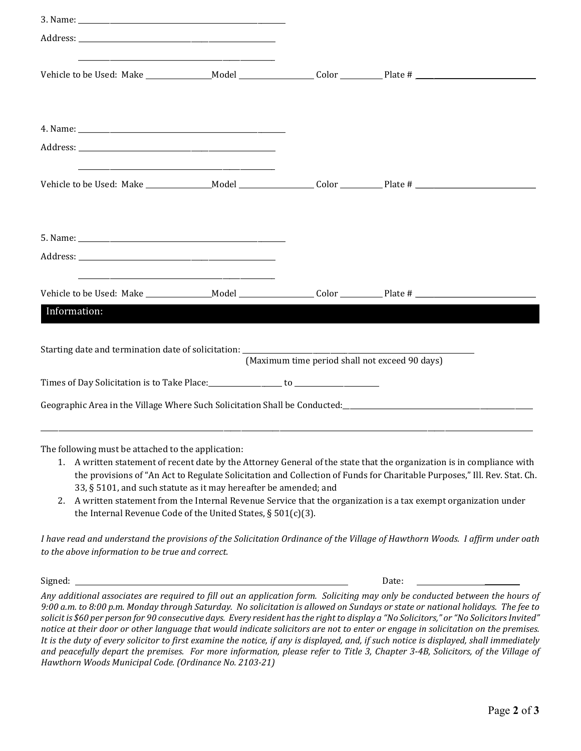|                                                                                                                              | <u> 1989 - Johann Barn, mars ann an t-Amhain an t-Amhain an t-Amhain an t-Amhain an t-Amhain an t-Amhain an t-A</u> |                                                |                                                                                                                                                                                                                                                 |
|------------------------------------------------------------------------------------------------------------------------------|---------------------------------------------------------------------------------------------------------------------|------------------------------------------------|-------------------------------------------------------------------------------------------------------------------------------------------------------------------------------------------------------------------------------------------------|
|                                                                                                                              |                                                                                                                     |                                                |                                                                                                                                                                                                                                                 |
|                                                                                                                              |                                                                                                                     |                                                |                                                                                                                                                                                                                                                 |
|                                                                                                                              | the control of the control of the control of the control of the control of the control of                           |                                                |                                                                                                                                                                                                                                                 |
|                                                                                                                              |                                                                                                                     |                                                |                                                                                                                                                                                                                                                 |
|                                                                                                                              | <u> 1989 - Andrea Stadt Britain, amerikansk politik (* 1908)</u>                                                    |                                                |                                                                                                                                                                                                                                                 |
|                                                                                                                              |                                                                                                                     |                                                |                                                                                                                                                                                                                                                 |
| Information:                                                                                                                 |                                                                                                                     |                                                |                                                                                                                                                                                                                                                 |
|                                                                                                                              |                                                                                                                     | (Maximum time period shall not exceed 90 days) |                                                                                                                                                                                                                                                 |
| Times of Day Solicitation is to Take Place: ________________ to ________________                                             |                                                                                                                     |                                                |                                                                                                                                                                                                                                                 |
|                                                                                                                              |                                                                                                                     |                                                | Geographic Area in the Village Where Such Solicitation Shall be Conducted: ___________________________________                                                                                                                                  |
| The following must be attached to the application:<br>1.<br>33, § 5101, and such statute as it may hereafter be amended; and |                                                                                                                     |                                                | A written statement of recent date by the Attorney General of the state that the organization is in compliance with<br>the provisions of "An Act to Regulate Solicitation and Collection of Funds for Charitable Purposes," Ill. Rev. Stat. Ch. |

2. A written statement from the Internal Revenue Service that the organization is a tax exempt organization under the Internal Revenue Code of the United States, § 501(c)(3).

*I have read and understand the provisions of the Solicitation Ordinance of the Village of Hawthorn Woods. I affirm under oath to the above information to be true and correct.*

Signed: Date: \_\_\_\_\_\_\_\_\_\_ *Any additional associates are required to fill out an application form. Soliciting may only be conducted between the hours of 9:00 a.m. to 8:00 p.m. Monday through Saturday. No solicitation is allowed on Sundays or state or national holidays. The fee to solicit is \$60 per person for 90 consecutive days. Every resident has the right to display a "No Solicitors," or "No Solicitors Invited" notice at their door or other language that would indicate solicitors are not to enter or engage in solicitation on the premises. It is the duty of every solicitor to first examine the notice, if any is displayed, and, if such notice is displayed, shall immediately and peacefully depart the premises. For more information, please refer to Title 3, Chapter 3-4B, Solicitors, of the Village of Hawthorn Woods Municipal Code. (Ordinance No. 2103-21)*